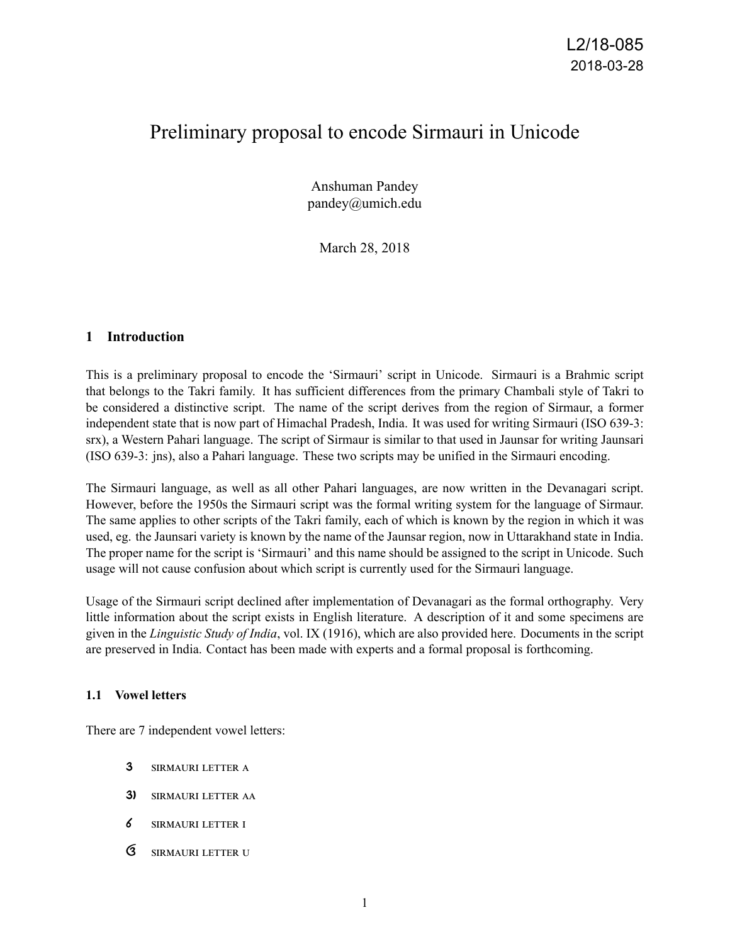# Preliminary proposal to encode Sirmauri in Unicode

Anshuman Pandey pandey@umich.edu

March 28, 2018

## **1 Introduction**

This is a preliminary proposal to encode the 'Sirmauri' script in Unicode. Sirmauri is a Brahmic script that belongs to the Takri family. It has sufficient differences from the primary Chambali style of Takri to be considered a distinctive script. The name of the script derives from the region of Sirmaur, a former independent state that is now part of Himachal Pradesh, India. It was used for writing Sirmauri (ISO 639-3: srx), a Western Pahari language. The script of Sirmaur is similar to that used in Jaunsar for writing Jaunsari (ISO 639-3: jns), also a Pahari language. These two scripts may be unified in the Sirmauri encoding.

The Sirmauri language, as well as all other Pahari languages, are now written in the Devanagari script. However, before the 1950s the Sirmauri script was the formal writing system for the language of Sirmaur. The same applies to other scripts of the Takri family, each of which is known by the region in which it was used, eg. the Jaunsari variety is known by the name of the Jaunsar region, now in Uttarakhand state in India. The proper name for the script is 'Sirmauri' and this name should be assigned to the script in Unicode. Such usage will not cause confusion about which script is currently used for the Sirmauri language.

Usage of the Sirmauri script declined after implementation of Devanagari as the formal orthography. Very little information about the script exists in English literature. A description of it and some specimens are given in the *Linguistic Study of India*, vol. IX (1916), which are also provided here. Documents in the script are preserved in India. Contact has been made with experts and a formal proposal is forthcoming.

## **1.1 Vowel letters**

There are 7 independent vowel letters:

- 3 SIRMAURI LETTER A
- 3) SIRMAURI LETTER AA
- 6 SIRMAURI LETTER I
- G SIRMAURI LETTER U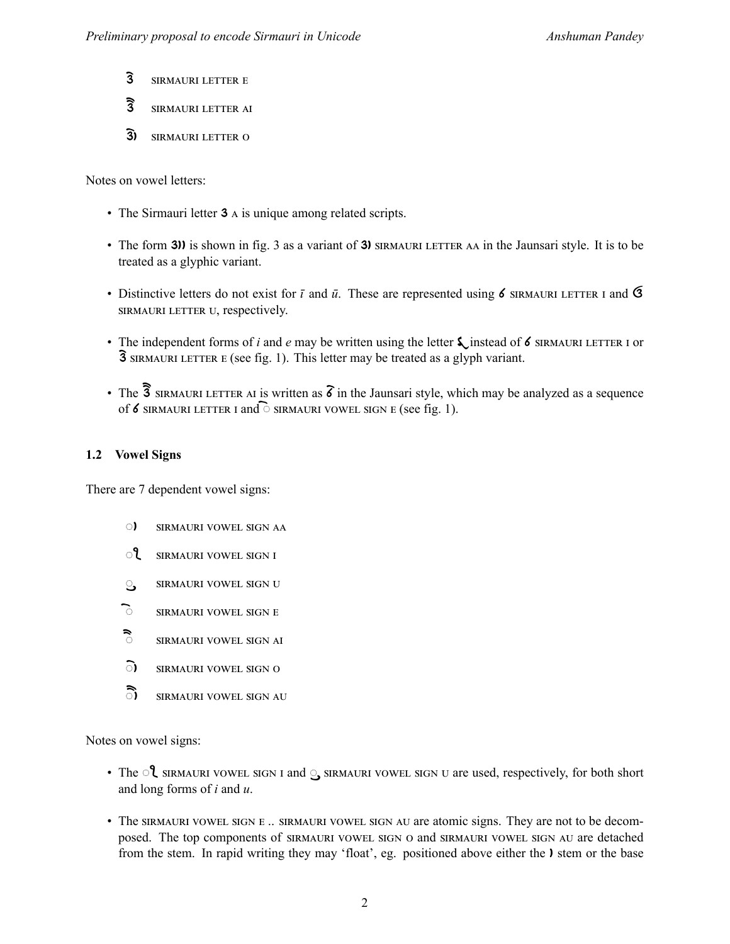- 3 SIRMAURI LETTER E
- 3 SIRMAURI LETTER AI
- 3) SIRMAURI LETTER O

Notes on vowel letters:

- The Sirmauri letter 3 A is unique among related scripts.
- The form 3)) is shown in fig. 3 as a variant of 3) SIRMAURI LETTER AA in the Jaunsari style. It is to be treated as a glyphic variant.
- Distinctive letters do not exist for  $\bar{\iota}$  and  $\bar{\iota}$ . These are represented using 6 SIRMAURI LETTER I and G SIRMAURI LETTER U, respectively.
- The independent forms of *i* and *e* may be written using the letter  $\zeta$  instead of 6 SIRMAURI LETTER I or  $\overline{3}$  SIRMAURI LETTER E (see fig. 1). This letter may be treated as a glyph variant.
- The  $\overline{3}$  sirmauri Letter at is written as  $\delta$  in the Jaunsari style, which may be analyzed as a sequence of 6 SIRMAURI LETTER I and  $\widehat{\circ}$  sirmauri vowel sign E (see fig. 1).

## **1.2 Vowel Signs**

There are 7 dependent vowel signs:

- **C)** SIRMAURI VOWEL SIGN AA
- **ീ** SIRMAURI VOWEL SIGN I
- ු SIRMAURI VOWEL SIGN U
- ි SIRMAURI VOWEL SIGN E
- ैं SIRMAURI VOWEL SIGN AI
- **c)** SIRMAURI VOWEL SIGN O
- ි) SIRMAURI VOWEL SIGN AU

Notes on vowel signs:

- The  $\mathcal{C}$  sirmauri vowel sign i and  $\mathcal{C}$  sirmauri vowel sign u are used, respectively, for both short and long forms of *i* and *u*.
- The SIRMAURI VOWEL SIGN E .. SIRMAURI VOWEL SIGN AU are atomic signs. They are not to be decomposed. The top components of SIRMAURI VOWEL SIGN O and SIRMAURI VOWEL SIGN AU are detached from the stem. In rapid writing they may 'float', eg. positioned above either the **)** stem or the base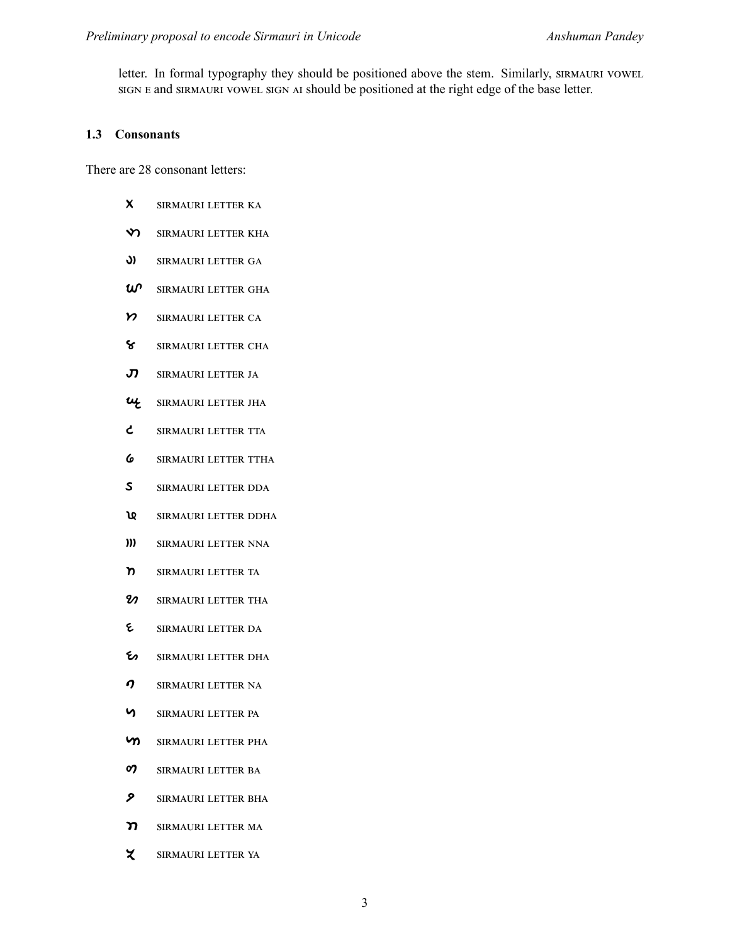letter. In formal typography they should be positioned above the stem. Similarly, SIRMAURI VOWEL SIGN E and SIRMAURI VOWEL SIGN AI should be positioned at the right edge of the base letter.

## **1.3 Consonants**

There are 28 consonant letters:

- X SIRMAURI LETTER KA
- **V SIRMAURI LETTER KHA**
- **J)** SIRMAURI LETTER GA
- $\omega$ <sup>o</sup> SIRMAURI LETTER GHA
- Y SIRMAURI LETTER CA
- ඌංඋආൺඎඋං අൾඍඍൾඋ ർඁൺ
- **、 SIRMAURI LETTER JA**
- UL SIRMAURI LETTER JHA
- ሪ SIRMAURI LETTER TTA
- **6** SIRMAURI LETTER TTHA
- S SIRMAURI LETTER DDA
- **ኒዩ** SIRMAURI LETTER DDHA
- )) SIRMAURI LETTER NNA
- ከ SIRMAURI LETTER TA
- $\mathbfcal{V}$  SIRMAURI LETTER THA
- ይ SIRMAURI LETTER DA
- හං SIRMAURI LETTER DHA
- $\boldsymbol{O}$  SIRMAURI LETTER NA
- ඌංඋආൺඎඋං අൾඍඍൾඋ ඉൺ
- **ካ** SIRMAURI LETTER PHA
- 07 SIRMAURI LETTER BA
- **ዖ** SIRMAURI LETTER BHA
- ን SIRMAURI LETTER MA
- ሂ SIRMAURI LETTER YA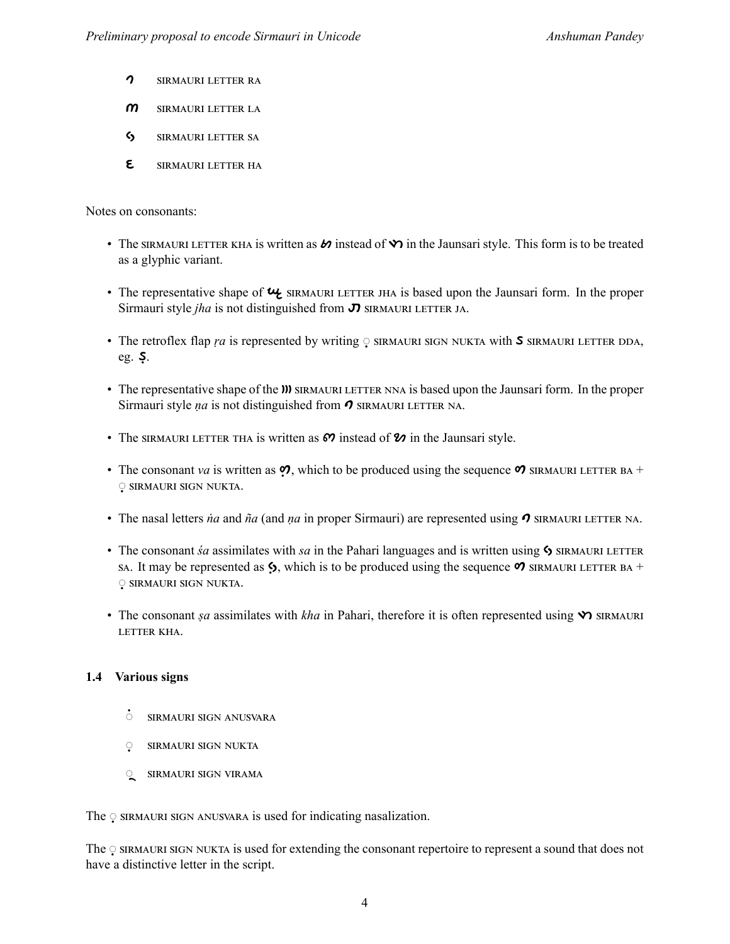- $\gamma$  SIRMAURI LETTER RA
- $m$  SIRMAURI LETTER LA
- S SIRMAURI LETTER SA
- E SIRMAURI LETTER HA

Notes on consonants:

- The SIRMAURI LETTER KHA is written as  $\omega$  instead of  $\omega$  in the Jaunsari style. This form is to be treated as a glyphic variant.
- The representative shape of  $\mathcal{U}_2$  sing single left is based upon the Jaunsari form. In the proper Sirmauri style *jha* is not distinguished from  $\sigma$  SIRMAURI LETTER JA.
- The retroflex flap *ra* is represented by writing *v* SIRMAURI SIGN NUKTA with **S** SIRMAURI LETTER DDA, eg.  $\mathsf{S}$ .
- The representative shape of the **W** SIRMAURI LETTER NNA is based upon the Jaunsari form. In the proper Sirmauri style *na* is not distinguished from  $\sigma$  SIRMAURI LETTER NA.
- The SIRMAURI LETTER THA is written as  $\omega$  instead of  $\omega$  in the Jaunsari style.
- The consonant *va* is written as  $\mathcal{O}$ , which to be produced using the sequence  $\mathcal{O}$  sigmatured Lettler BA + ୍ SIRMAURI SIGN NUKTA.
- The nasal letters *na* and *ña* (and *na* in proper Sirmauri) are represented using  $\sigma$  SIRMAURI LETTER NA.
- The consonant *śa* assimilates with *sa* in the Pahari languages and is written using **S** SIRMAURI LETTER SA. It may be represented as  $\zeta$ , which is to be produced using the sequence  $\mathcal{O}$  SIRMAURI LETTER BA + ୍ତ SIRMAURI SIGN NUKTA.
- The consonant *şa* assimilates with *kha* in Pahari, therefore it is often represented using  $\mathbf{\hat{y}}$  sin SIRMAURI LETTER KHA.

## **1.4 Various signs**

- $\cdot$  SIRMAURI SIGN ANUSVARA
- ୍ SIRMAURI SIGN NUKTA
- ୍ SIRMAURI SIGN VIRAMA

The © SIRMAURI SIGN ANUSVARA is used for indicating nasalization.

The  $\circ$  sirmauri sign nukta is used for extending the consonant repertoire to represent a sound that does not have a distinctive letter in the script.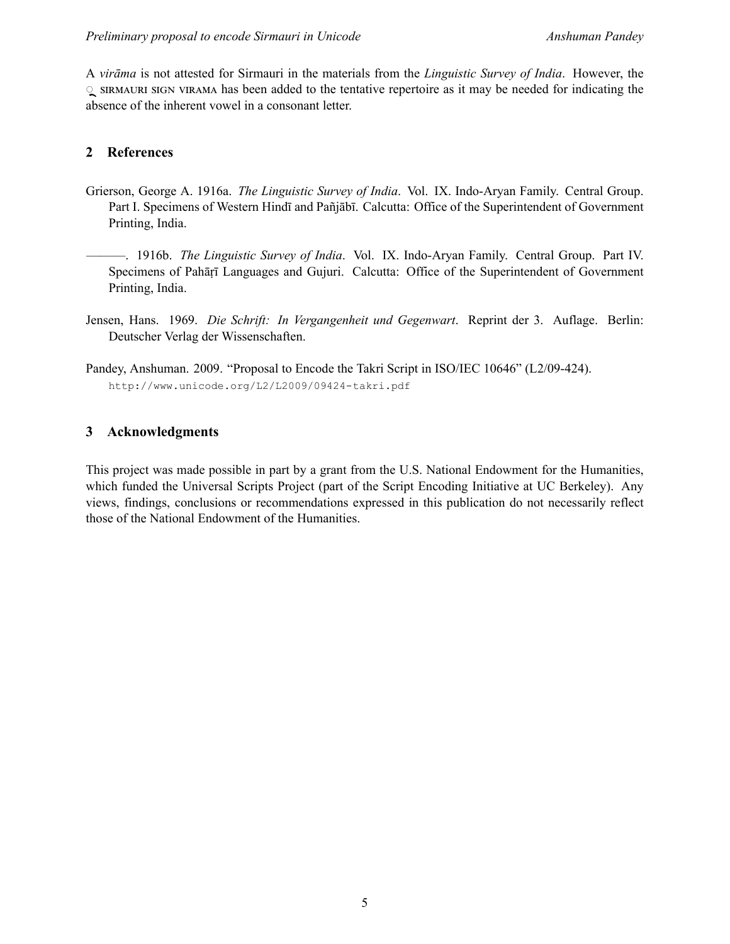A *virāma* is not attested for Sirmauri in the materials from the *Linguistic Survey of India*. However, the ◌ඌංඋආൺඎඋං ඌංඇ ඏංඋൺආൺ has been added to the tentative repertoire as it may be needed for indicating the absence of the inherent vowel in a consonant letter.

## **2 References**

- Grierson, George A. 1916a. *The Linguistic Survey of India*. Vol. IX. Indo-Aryan Family. Central Group. Part I. Specimens of Western Hindī and Pañjābī. Calcutta: Office of the Superintendent of Government Printing, India.
	- ———. 1916b. *The Linguistic Survey of India*. Vol. IX. Indo-Aryan Family. Central Group. Part IV. Specimens of Pahāṛī Languages and Gujuri. Calcutta: Office of the Superintendent of Government Printing, India.
- Jensen, Hans. 1969. *Die Schrift: In Vergangenheit und Gegenwart*. Reprint der 3. Auflage. Berlin: Deutscher Verlag der Wissenschaften.
- Pandey, Anshuman. 2009. "Proposal to Encode the Takri Script in ISO/IEC 10646" (L2/09-424). http://www.unicode.org/L2/L2009/09424-takri.pdf

## **3 Acknowledgments**

This project was made possible in part by a grant from the U.S. National Endowment for the Humanities, which funded the Universal Scripts Project (part of the Script Encoding Initiative at UC Berkeley). Any views, findings, conclusions or recommendations expressed in this publication do not necessarily reflect those of the National Endowment of the Humanities.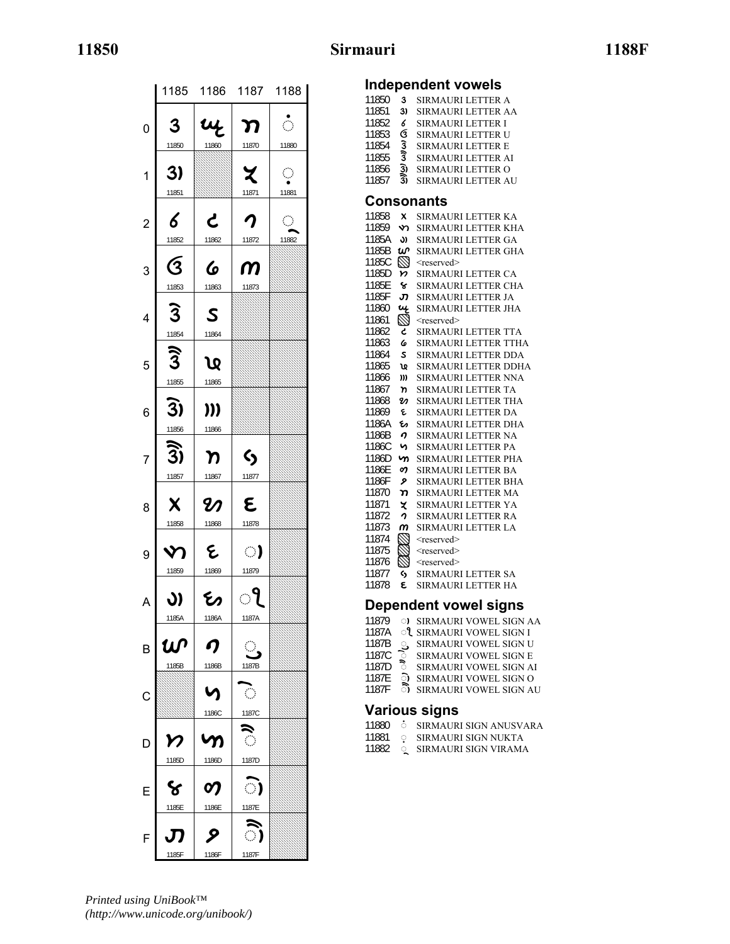## **11850 Sirmauri 1188F**

|                         |                                     | 1185 1186 1187 1188 |                           |                       |  |  |
|-------------------------|-------------------------------------|---------------------|---------------------------|-----------------------|--|--|
| $\overline{0}$          | 3                                   | ų                   | ກ                         | Ŏ                     |  |  |
|                         | 11850                               | 11860               | 11870                     | 11880                 |  |  |
| $\mathbf{1}$            | 3)<br>11851                         |                     | Z<br>11871                | $\mathbb{C}$<br>11881 |  |  |
| $\overline{\mathbf{c}}$ | 6                                   | と                   | $\boldsymbol{\gamma}$     | $\mathbb{Q}$<br>11882 |  |  |
| 3                       | 11852<br>$\overline{\mathcal{G}}$   | 11862<br>6          | 11872<br>$\boldsymbol{m}$ |                       |  |  |
| 4                       | 11853<br>$\overline{3}$             | 11863<br>S          | 11873                     |                       |  |  |
|                         | 11854                               | 11864               |                           |                       |  |  |
| 5                       | $\widehat{\mathfrak{Z}}$<br>11855   | Q<br>11865          |                           |                       |  |  |
| 6                       | $\overline{3}$                      | )))                 |                           |                       |  |  |
| 7                       | 11856<br><u> Ti</u>                 | 11866<br>η          | $\bm{\zeta}$              |                       |  |  |
| 8                       | 11857<br>X                          | 11867<br>U)         | 11877<br>٤                |                       |  |  |
| 9                       | 11858<br>V                          | 11868<br>દ          | 11878<br>ා                |                       |  |  |
|                         | 11859                               | 11869               | 11879                     |                       |  |  |
| A                       | J)<br>1185A                         | ひ<br>1186A          | ႃႝ<br>1187A               |                       |  |  |
| B                       | ம்<br>1185B                         | ŋ<br>1186B          | $\bigcirc$<br>1187B       |                       |  |  |
| $\mathsf{C}$            |                                     | Λ                   | $\langle \cdot \rangle$   |                       |  |  |
|                         |                                     | 1186C               | 1187C                     |                       |  |  |
| D                       | $\boldsymbol{\mathcal{V}}$<br>1185D | უ<br>1186D          | ै<br>1187D                |                       |  |  |
| E                       | ४                                   | တု                  | ා                         |                       |  |  |
|                         | 1185E                               | 1186E               | 1187E                     |                       |  |  |
| F                       | Л                                   | ୨                   | ≂<br>ා)                   |                       |  |  |
|                         | 1185F                               | 1186F               | 1187F                     |                       |  |  |

# **Independent vowels**

| 11850<br>11851<br>11852<br>11853<br>11854<br>11855<br>11856<br>11857 | 3<br>3)<br>6<br>ઉ<br><b>زن</b><br>3<br>3)<br>3) | <b>SIRMAURI LETTER A</b><br><b>SIRMAURI LETTER AA</b><br><b>SIRMAURI LETTER I</b><br>SIRMAURI LETTER U<br><b>SIRMAURI LETTER E</b><br>SIRMAURI LETTER AI<br>SIRMAURI LETTER O<br>SIRMAURI LETTER AU |
|----------------------------------------------------------------------|-------------------------------------------------|-----------------------------------------------------------------------------------------------------------------------------------------------------------------------------------------------------|
|                                                                      |                                                 | Consonants                                                                                                                                                                                          |
| 11858                                                                | X                                               | SIRMAURI LETTER KA                                                                                                                                                                                  |
| 11859                                                                | ৵                                               | SIRMAURI LETTER KHA                                                                                                                                                                                 |
| 1185A                                                                | J)                                              | SIRMAURI LETTER GA                                                                                                                                                                                  |
| 1185B                                                                | w                                               | SIRMAURI LETTER GHA                                                                                                                                                                                 |
| 1185C                                                                | $\varnothing$                                   | <reserved></reserved>                                                                                                                                                                               |
| 1185D                                                                | n.                                              | SIRMAURI LETTER CA                                                                                                                                                                                  |
| 1185E<br>1185F                                                       | ૬<br>J                                          | SIRMAURI LETTER CHA                                                                                                                                                                                 |
| 11860                                                                | ų                                               | SIRMAURI LETTER JA<br>SIRMAURI LETTER JHA                                                                                                                                                           |
| 11861                                                                | $\varnothing$                                   | <reserved></reserved>                                                                                                                                                                               |
| 11862                                                                | ረ                                               | <b>SIRMAURI LETTER TTA</b>                                                                                                                                                                          |
| 11863                                                                | 6                                               | SIRMAURI LETTER TTHA                                                                                                                                                                                |
| 11864                                                                | s.                                              | SIRMAURI LETTER DDA                                                                                                                                                                                 |
| 11865                                                                | ທະ                                              | SIRMAURI LETTER DDHA                                                                                                                                                                                |
| 11866                                                                | )))                                             | SIRMAURI LETTER NNA                                                                                                                                                                                 |
| 11867                                                                | 'n                                              | SIRMAURI LETTER TA                                                                                                                                                                                  |
| 11868                                                                | M                                               | SIRMAURI LETTER THA                                                                                                                                                                                 |
| 11869                                                                | ٤                                               | SIRMAURI LETTER DA                                                                                                                                                                                  |
| 1186A                                                                | یح                                              | SIRMAURI LETTER DHA                                                                                                                                                                                 |
| 1186B                                                                | ŋ                                               | SIRMAURI LETTER NA                                                                                                                                                                                  |
| 1186C                                                                | n                                               | SIRMAURI LETTER PA                                                                                                                                                                                  |
| 1186D                                                                | m                                               | SIRMAURI LETTER PHA                                                                                                                                                                                 |
| 1186E                                                                | 0)                                              | <b>SIRMAURI LETTER BA</b>                                                                                                                                                                           |
| 1186F                                                                | ۶                                               | SIRMAURI LETTER BHA                                                                                                                                                                                 |
| 11870                                                                | ກ                                               | SIRMAURI LETTER MA                                                                                                                                                                                  |
| 11871                                                                | z                                               | <b>SIRMAURI LETTER YA</b>                                                                                                                                                                           |
| 11872<br>11873                                                       | 1                                               | SIRMAURI LETTER RA                                                                                                                                                                                  |
| 11874                                                                | m<br>$\varnothing$                              | SIRMAURI LETTER LA<br><reserved></reserved>                                                                                                                                                         |
| 11875                                                                |                                                 | <reserved></reserved>                                                                                                                                                                               |
| 11876                                                                |                                                 | <reserved></reserved>                                                                                                                                                                               |
| 11877                                                                | ς,                                              | SIRMAURI LETTER SA                                                                                                                                                                                  |
| 11878                                                                | Ë                                               | <b>SIRMAURI LETTER HA</b>                                                                                                                                                                           |
|                                                                      |                                                 |                                                                                                                                                                                                     |
|                                                                      |                                                 | <b>Dependent vowel signs</b>                                                                                                                                                                        |
| 11879                                                                |                                                 | <b>3) SIRMAURI VOWEL SIGN AA</b>                                                                                                                                                                    |
| 1187A                                                                |                                                 | ी SIRMAURI VOWEL SIGN I                                                                                                                                                                             |
| 1187B                                                                | 9,                                              | SIRMAURI VOWEL SIGN U                                                                                                                                                                               |

### 1187C  $\degree$  SIRMAURI VOWEL SIGN E 1187D **6** SIRMAURI VOWEL SIGN AI

- 1187E **the SI**RMAURI VOWEL SIGN O
- 1187F  **SIRMAURI VOWEL SIGN AU**

## **Various signs**

- 11881 \$ SIRMAURI SIGN NUKTA
- 11882 SIRMAURI SIGN VIRAMA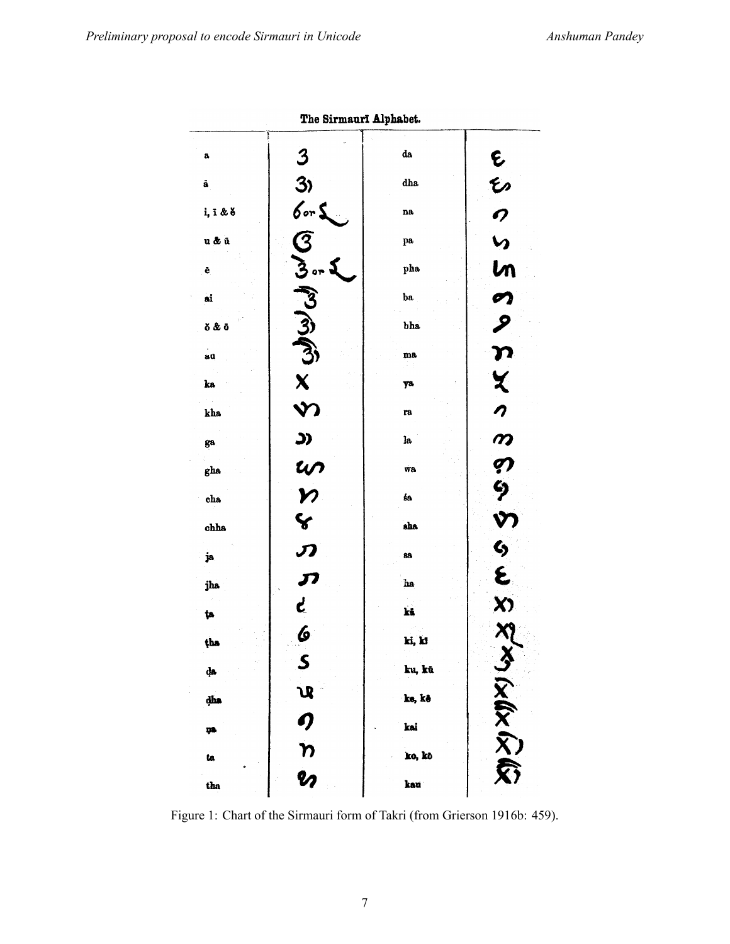|                 | The Sirmauri Alphabet.     |                     |                  |  |
|-----------------|----------------------------|---------------------|------------------|--|
| a,              | $\boldsymbol{3}$           | da                  |                  |  |
| ã               | 3)                         | dha                 |                  |  |
| i, ī & š        | for <b>s</b><br>G          | na                  | もひの              |  |
| u & ū           |                            | pa                  | $\mathbf{v}$     |  |
| ê               | $\mathfrak{Z}$ or          | pha                 | ln               |  |
| ai              | $\mathcal{E}$              | $_{ba}$             | $\mathcal{O}$    |  |
| δ&δ             | لون محمد<br>المجمع         | bha                 | ዖ                |  |
| uu              |                            | $\mathbf{m}{\bf a}$ | $\boldsymbol{n}$ |  |
| ka              |                            | ya                  | X                |  |
| kha             | $\mathbf{v}$               | ra                  |                  |  |
| ga.             | <u>(င</u>                  | la                  |                  |  |
| gha             |                            | wa                  | ののら              |  |
| $_{\text{cha}}$ | w<br>n<br>Y                | śa                  |                  |  |
| chha            |                            | $_{\rm abs}$        | Y                |  |
| ja.             | $\boldsymbol{\mathcal{D}}$ | 88                  | S<br>E           |  |
| jha             | JI                         | ha                  |                  |  |
| ţa              | بع                         | kš                  | X)               |  |
| tha             | $\boldsymbol{\phi}$        | ki, ki              |                  |  |
| dа              | $\mathcal{S}_{0}$          | ku, kū              |                  |  |
| dha             | <b>U</b>                   | ke, kê              |                  |  |
| ņa              |                            | kai                 |                  |  |
| ta              | のわめ                        | ko, kõ              | こくどくどう           |  |
| tha             |                            | kau                 |                  |  |

.<br>- Ginnerma Alabebet  $\overline{a}$ 

Figure 1: Chart of the Sirmauri form of Takri (from Grierson 1916b: 459).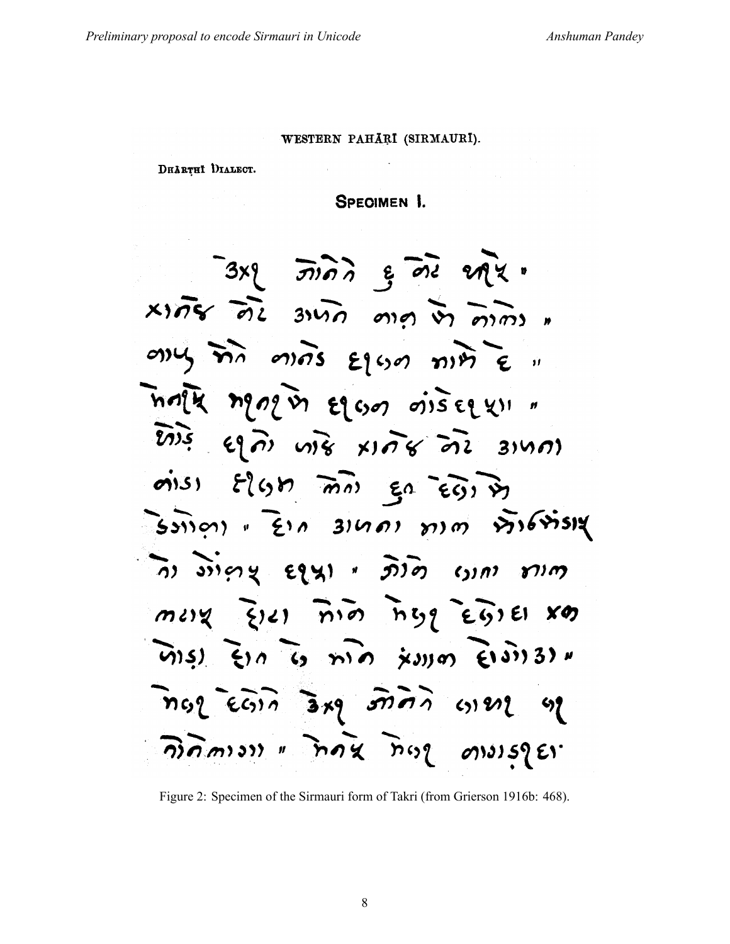### WESTERN PAHĀRĪ (SIRMAURĪ).

DHARTHI DIALECT.

**SPECIMEN 1.** 

 $3x8$   $\overrightarrow{3}$  $x$  $\overline{n}$ s de suid ang in dime  $any$  ma mas  $\varepsilon$ 100 mm  $\varepsilon$  " ทิศโน ทอดอุบิร ยอด ดำระยุยุง "  $\overrightarrow{2133}$  eq  $\overrightarrow{a}$  vives xings  $\overrightarrow{a}12$  3140)  $\omega(s)$   $\epsilon(s)$   $\omega$   $\omega$   $\epsilon$   $\omega$   $\omega$  $\frac{1}{2}$ sinon "Ein 31401 mm 81681514 ์กา งางคน ยานา " ภิวิอา เวากา ภาค  $m \,$ uv (2)2)  $\overline{n}$   $\overline{n}$   $\overline{n}$   $\overline{n}$   $\overline{y}$   $\overline{y}$   $\overline{z}$   $\overline{y}$   $\overline{z}$   $\overline{y}$   $\overline{z}$   $\overline{y}$  $\widehat{u}(s)$   $\xi(n)$   $\widehat{u}(s)$   $\widehat{m}(n)$   $\xi(s)$  $\ln 2$   $\epsilon$   $\widehat{c_3}$ ,  $\widehat{a}$   $\ast 9$   $\widehat{3}$   $\widehat{7}$   $\widehat{7}$   $\widehat{7}$   $\widehat{8}$   $\widehat{1}$   $\widehat{1}$   $\widehat{2}$   $\ast 9$   $\widehat{1}$ คิดิ์ คาราร " กิดริ กิตร ดางเรายา

Figure 2: Specimen of the Sirmauri form of Takri (from Grierson 1916b: 468).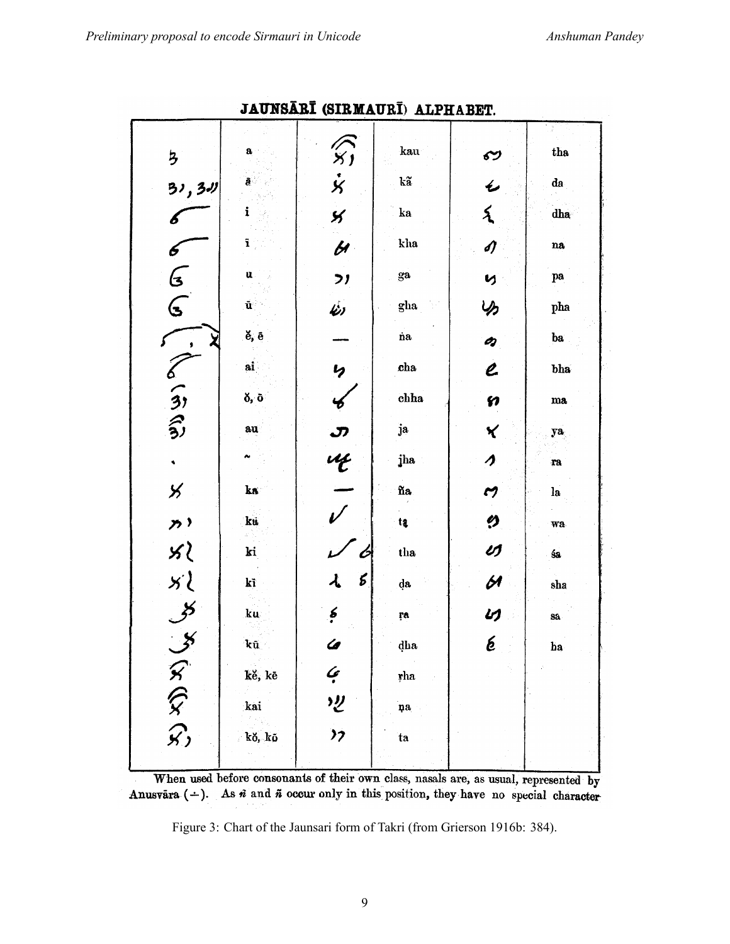| $\overline{\mathbf{z}}$ | a                     | $\widehat{x}$ , $\widehat{x}$           | kau            | ઌ                                 | tha         |
|-------------------------|-----------------------|-----------------------------------------|----------------|-----------------------------------|-------------|
| 31, 311                 | ā                     |                                         | kã             | $\overline{\mathbf{v}}$           | da          |
| 6                       | i                     | $\mathbf{y}$                            | $\mathbf{ka}$  | $\tilde{\mathbf{r}}$              | dha         |
| 6                       | ĩ                     | $\overline{\mathbf{z}}$                 | kha            | s)                                | na          |
| $\mathbf{C}$            | ü                     | $\mathcal{F}$                           | $_{\rm ga}$    | Ŋ                                 | pa          |
| $\mathbf{C}$            | $\tilde{\mathbf{u}}$  | Ý)                                      | gha            | り                                 | pha         |
| $\bullet$               | ĕ, ē                  |                                         | na.            | O)                                | ba          |
|                         | ai                    | $\mathbf{v}$                            | $_{\rm cha}$   | $\overline{\mathcal{C}}$          | bha         |
| くらる                     | $\delta$ , $\delta$   | $\boldsymbol{\mathscr{C}}$              | chha           | <b>S</b>                          | $_{\rm ma}$ |
|                         | au                    |                                         | ja             | $\check{\mathbf{X}}$              | ya          |
| $\ddot{\phantom{0}}$    | $\tilde{\phantom{a}}$ | $\frac{3}{4}$                           | jha            | $\boldsymbol{\lambda}$            | ra          |
| $\times$                | ka                    |                                         | ña             | M                                 | l <b>a</b>  |
| $\overline{p}$          | kü                    |                                         | $t_{3}$        | Ø                                 | wa          |
|                         | ki                    | $\mathcal{L}$                           | tha            | U                                 | śa          |
|                         | kĩ                    | $\lambda$<br>$\boldsymbol{\mathcal{E}}$ | da             | $\cancel{\beta}$                  | sha         |
| そうりょう                   | ku                    | $\epsilon$                              | ŗa             | UJ                                | Så.         |
|                         | kū.                   | U                                       | dha            | $\boldsymbol{\acute{\mathrm{e}}}$ | ha          |
|                         | kë, kë                | $\mathcal{L}$                           | rha            |                                   |             |
| is esta                 | kai                   | $\overline{v}$                          | $\mathbf{p}$ a |                                   |             |
|                         | kŏ, kō                | $\mathcal{V}$                           | ta             |                                   |             |
|                         |                       |                                         |                |                                   |             |

**JAUNSĀRĪ (SIRMAURĪ) ALPHARET** 

When used before consonants of their own class, nasals are, as usual, represented by Anusvara (-). As  $\vec{n}$  and  $\vec{n}$  occur only in this position, they have no special character

Figure 3: Chart of the Jaunsari form of Takri (from Grierson 1916b: 384).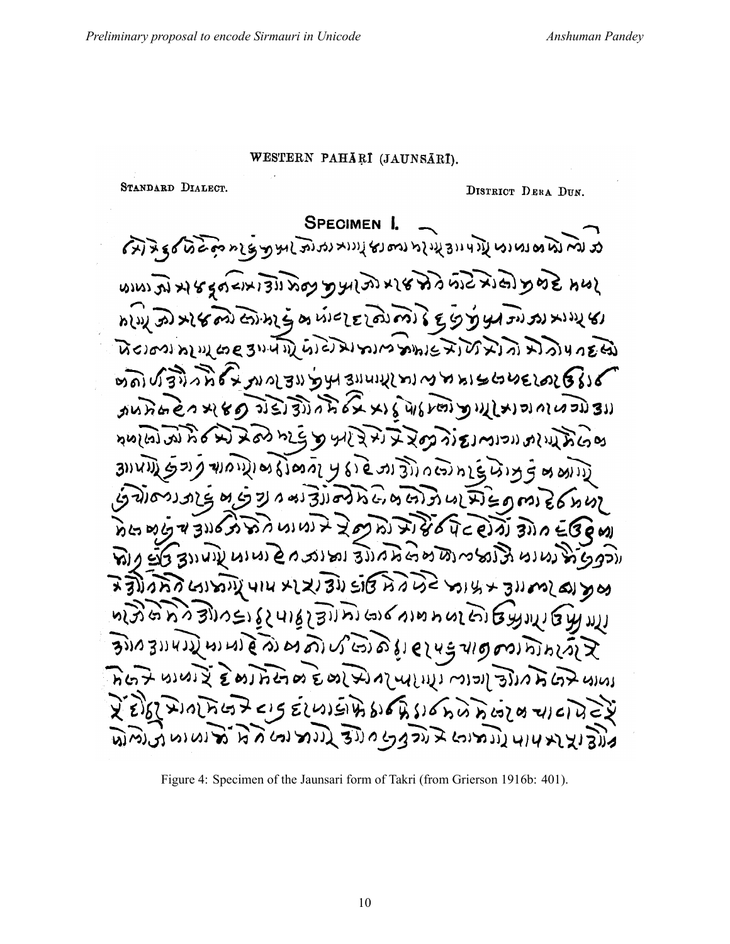## WESTERN PAHÄRI (JAUNSÄRI).

STANDARD DIALECT.

DISTRICT DERA DUN.

**SPECIMEN 1.** مد لم تم وم الله الله الله المعلم الله المعلم الله الله الله على الله مع مع الله الله من الله على ال גוא זה של הרבות בני למצא ותואי לא לה למות הוא לא לא לא לא n(v) အ) x ( တော်) တဲ့ n နဲ့ တ ယ် ငေ င ကြဲ က ) နဲ့ ေ မွ က မွ န က သ x ) x ) x ( ) นิยม ทุกเสน เรียนเป็น เจ้ามา มา มา มีเมื่อได้ เรื่อง ทุกมาร์ ต่อ) ประวังที่ 6 ม. ทาง 30 ทุน 30 ม. ทาง พทาง ครั้งครรคร unnaen x(80) DEJEDIALEXXIEWSKEIDWLXIENONOUSDIS للدام الحالية في المحمد المحمد المحمد المحمد المحمد المحمد المحمد المحمد المحمد المحمد المحمد المحمد ขอญิงธ์เดอียร์เอง 3 เจ้า นี้เอางานะุ่ หย่าย ามเริ่มเองที่ยิดตัวที่ แล้วยุคครริดที่ทุ ทินทย์ของออกทุกษ์ รองทางออกเอง อาจ อาจ ออ ורקפל הלנטונט הלומי ומשמאלה לה ומונב חל מומות עוטות כלב נה बार के स्वास्त्र के रिश्व स्टिरिटेंट के स्वास्त्र का प्रदेश की प्रथ મે લાગુ રાજ્ય વિડિયા લા ભાગ આ તિહિલ્હા માટે હિને જો હિલ્હિલ  $\widetilde{\mathcal{B}}$  and  $\widetilde{\mathcal{B}}$  and  $\widetilde{\mathcal{B}}$  and  $\widetilde{\mathcal{B}}$  and  $\widetilde{\mathcal{B}}$  and  $\widetilde{\mathcal{B}}$ प्रस्तु के पाला है है बाम राम के बाद के बार से बाद में हैं। बाद से पाला रेड गिरामाना के राज राम राम के बारी है। अपने राज्य स्टेट रे מוצוצו אות וונמיות בנקבן מנוצ בוות ומי מת ואי

Figure 4: Specimen of the Jaunsari form of Takri (from Grierson 1916b: 401).